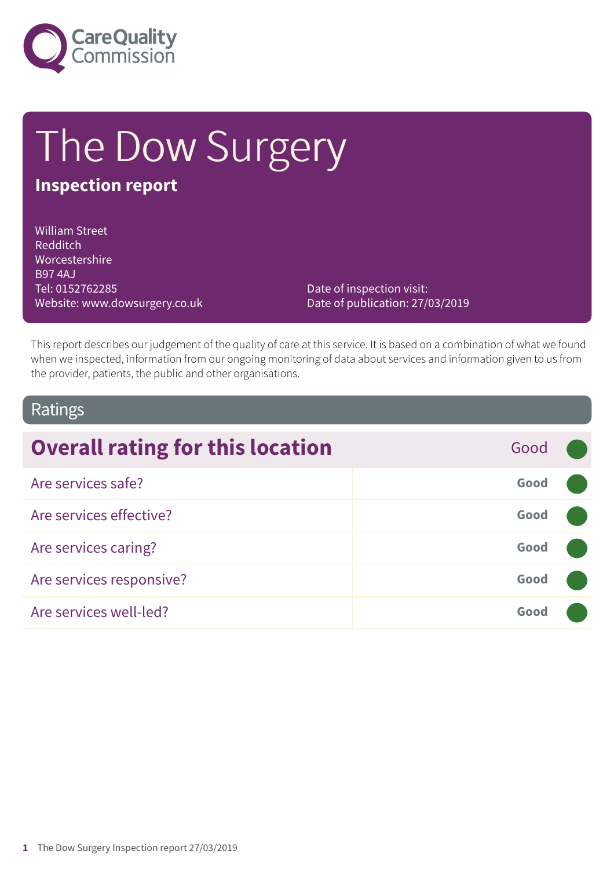

# The Dow Surgery

# **Inspection report**

William Street Redditch Worcestershire B97 4AJ Tel: 0152762285 Website: www.dowsurgery.co.uk

Date of inspection visit: Date of publication: 27/03/2019

This report describes our judgement of the quality of care at this service. It is based on a combination of what we found when we inspected, information from our ongoing monitoring of data about services and information given to us from the provider, patients, the public and other organisations.

### Ratings

| <b>Overall rating for this location</b> | Good |  |
|-----------------------------------------|------|--|
| Are services safe?                      | Good |  |
| Are services effective?                 | Good |  |
| Are services caring?                    | Good |  |
| Are services responsive?                | Good |  |
| Are services well-led?                  | Good |  |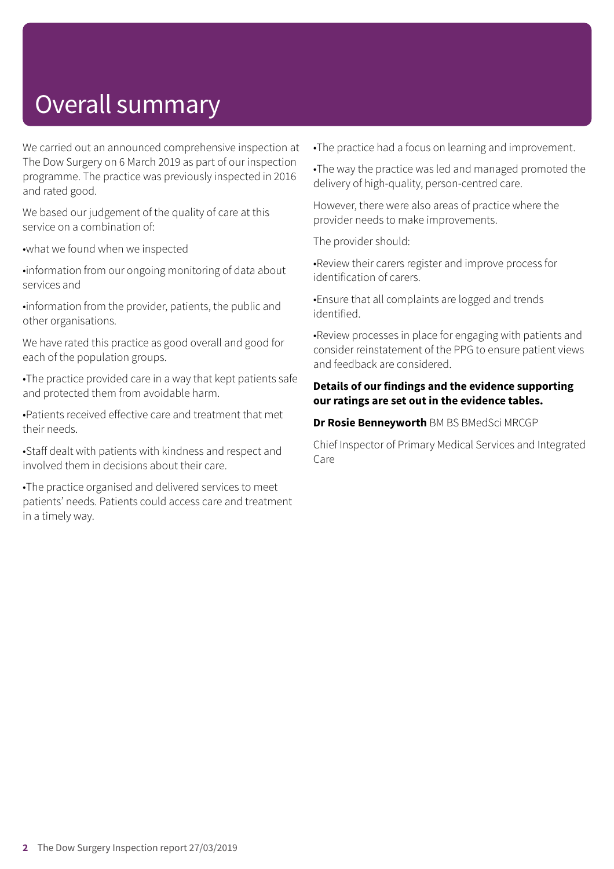# Overall summary

We carried out an announced comprehensive inspection at The Dow Surgery on 6 March 2019 as part of our inspection programme. The practice was previously inspected in 2016 and rated good.

We based our judgement of the quality of care at this service on a combination of:

•what we found when we inspected

•information from our ongoing monitoring of data about services and

•information from the provider, patients, the public and other organisations.

We have rated this practice as good overall and good for each of the population groups.

•The practice provided care in a way that kept patients safe and protected them from avoidable harm.

•Patients received effective care and treatment that met their needs.

•Staff dealt with patients with kindness and respect and involved them in decisions about their care.

•The practice organised and delivered services to meet patients' needs. Patients could access care and treatment in a timely way.

•The practice had a focus on learning and improvement.

•The way the practice was led and managed promoted the delivery of high-quality, person-centred care.

However, there were also areas of practice where the provider needs to make improvements.

The provider should:

•Review their carers register and improve process for identification of carers.

•Ensure that all complaints are logged and trends identified.

•Review processes in place for engaging with patients and consider reinstatement of the PPG to ensure patient views and feedback are considered.

#### **Details of our findings and the evidence supporting our ratings are set out in the evidence tables.**

**Dr Rosie Benneyworth** BM BS BMedSci MRCGP

Chief Inspector of Primary Medical Services and Integrated Care